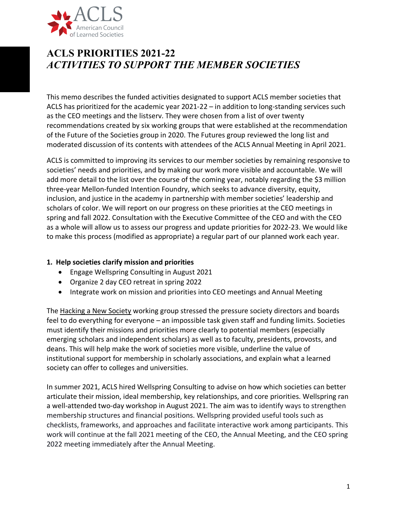

# **ACLS PRIORITIES 2021-22** *ACTIVITIES TO SUPPORT THE MEMBER SOCIETIES*

This memo describes the funded activities designated to support ACLS member societies that ACLS has prioritized for the academic year 2021-22 – in addition to long-standing services such as the CEO meetings and the listserv. They were chosen from a list of over twenty recommendations created by six working groups that were established at the recommendation of the Future of the Societies group in 2020. The Futures group reviewed the long list and moderated discussion of its contents with attendees of the ACLS Annual Meeting in April 2021.

ACLS is committed to improving its services to our member societies by remaining responsive to societies' needs and priorities, and by making our work more visible and accountable. We will add more detail to the list over the course of the coming year, notably regarding the \$3 million three-year Mellon-funded Intention Foundry, which seeks to advance diversity, equity, inclusion, and justice in the academy in partnership with member societies' leadership and scholars of color. We will report on our progress on these priorities at the CEO meetings in spring and fall 2022. Consultation with the Executive Committee of the CEO and with the CEO as a whole will allow us to assess our progress and update priorities for 2022-23. We would like to make this process (modified as appropriate) a regular part of our planned work each year.

## **1. Help societies clarify mission and priorities**

- Engage Wellspring Consulting in August 2021
- Organize 2 day CEO retreat in spring 2022
- Integrate work on mission and priorities into CEO meetings and Annual Meeting

The Hacking a New Society working group stressed the pressure society directors and boards feel to do everything for everyone – an impossible task given staff and funding limits. Societies must identify their missions and priorities more clearly to potential members (especially emerging scholars and independent scholars) as well as to faculty, presidents, provosts, and deans. This will help make the work of societies more visible, underline the value of institutional support for membership in scholarly associations, and explain what a learned society can offer to colleges and universities.

In summer 2021, ACLS hired Wellspring Consulting to advise on how which societies can better articulate their mission, ideal membership, key relationships, and core priorities. Wellspring ran a well-attended two-day workshop in August 2021. The aim was to identify ways to strengthen membership structures and financial positions. Wellspring provided useful tools such as checklists, frameworks, and approaches and facilitate interactive work among participants. This work will continue at the fall 2021 meeting of the CEO, the Annual Meeting, and the CEO spring 2022 meeting immediately after the Annual Meeting.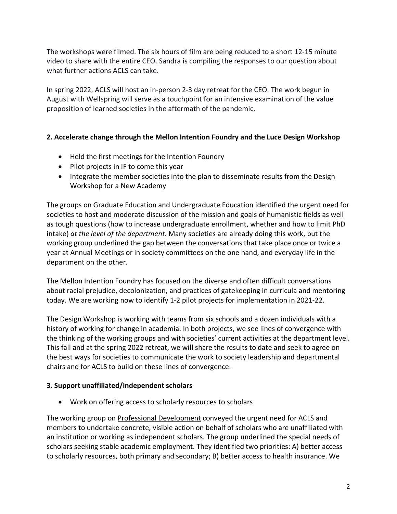The workshops were filmed. The six hours of film are being reduced to a short 12-15 minute video to share with the entire CEO. Sandra is compiling the responses to our question about what further actions ACLS can take.

In spring 2022, ACLS will host an in-person 2-3 day retreat for the CEO. The work begun in August with Wellspring will serve as a touchpoint for an intensive examination of the value proposition of learned societies in the aftermath of the pandemic.

# **2. Accelerate change through the Mellon Intention Foundry and the Luce Design Workshop**

- Held the first meetings for the Intention Foundry
- Pilot projects in IF to come this year
- Integrate the member societies into the plan to disseminate results from the Design Workshop for a New Academy

The groups on Graduate Education and Undergraduate Education identified the urgent need for societies to host and moderate discussion of the mission and goals of humanistic fields as well as tough questions (how to increase undergraduate enrollment, whether and how to limit PhD intake) *at the level of the department*. Many societies are already doing this work, but the working group underlined the gap between the conversations that take place once or twice a year at Annual Meetings or in society committees on the one hand, and everyday life in the department on the other.

The Mellon Intention Foundry has focused on the diverse and often difficult conversations about racial prejudice, decolonization, and practices of gatekeeping in curricula and mentoring today. We are working now to identify 1-2 pilot projects for implementation in 2021-22.

The Design Workshop is working with teams from six schools and a dozen individuals with a history of working for change in academia. In both projects, we see lines of convergence with the thinking of the working groups and with societies' current activities at the department level. This fall and at the spring 2022 retreat, we will share the results to date and seek to agree on the best ways for societies to communicate the work to society leadership and departmental chairs and for ACLS to build on these lines of convergence.

## **3. Support unaffiliated/independent scholars**

• Work on offering access to scholarly resources to scholars

The working group on Professional Development conveyed the urgent need for ACLS and members to undertake concrete, visible action on behalf of scholars who are unaffiliated with an institution or working as independent scholars. The group underlined the special needs of scholars seeking stable academic employment. They identified two priorities: A) better access to scholarly resources, both primary and secondary; B) better access to health insurance. We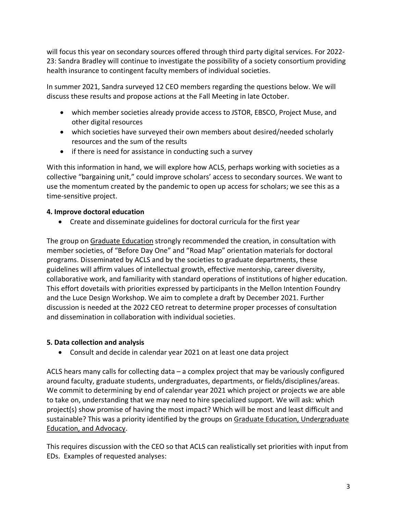will focus this year on secondary sources offered through third party digital services. For 2022- 23: Sandra Bradley will continue to investigate the possibility of a society consortium providing health insurance to contingent faculty members of individual societies.

In summer 2021, Sandra surveyed 12 CEO members regarding the questions below. We will discuss these results and propose actions at the Fall Meeting in late October.

- which member societies already provide access to JSTOR, EBSCO, Project Muse, and other digital resources
- which societies have surveyed their own members about desired/needed scholarly resources and the sum of the results
- if there is need for assistance in conducting such a survey

With this information in hand, we will explore how ACLS, perhaps working with societies as a collective "bargaining unit," could improve scholars' access to secondary sources. We want to use the momentum created by the pandemic to open up access for scholars; we see this as a time-sensitive project.

# **4. Improve doctoral education**

• Create and disseminate guidelines for doctoral curricula for the first year

The group on Graduate Education strongly recommended the creation, in consultation with member societies, of "Before Day One" and "Road Map" orientation materials for doctoral programs. Disseminated by ACLS and by the societies to graduate departments, these guidelines will affirm values of intellectual growth, effective mentorship, career diversity, collaborative work, and familiarity with standard operations of institutions of higher education. This effort dovetails with priorities expressed by participants in the Mellon Intention Foundry and the Luce Design Workshop. We aim to complete a draft by December 2021. Further discussion is needed at the 2022 CEO retreat to determine proper processes of consultation and dissemination in collaboration with individual societies.

# **5. Data collection and analysis**

• Consult and decide in calendar year 2021 on at least one data project

ACLS hears many calls for collecting data – a complex project that may be variously configured around faculty, graduate students, undergraduates, departments, or fields/disciplines/areas. We commit to determining by end of calendar year 2021 which project or projects we are able to take on, understanding that we may need to hire specialized support. We will ask: which project(s) show promise of having the most impact? Which will be most and least difficult and sustainable? This was a priority identified by the groups on Graduate Education, Undergraduate Education, and Advocacy.

This requires discussion with the CEO so that ACLS can realistically set priorities with input from EDs. Examples of requested analyses: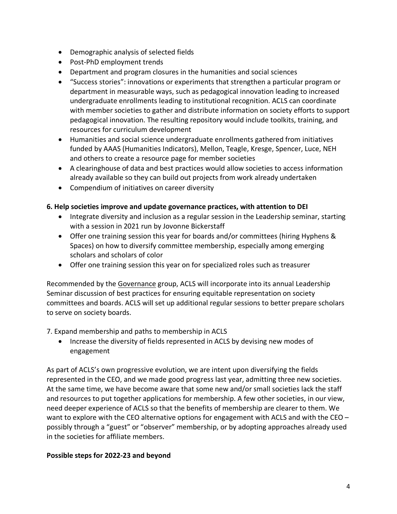- Demographic analysis of selected fields
- Post-PhD employment trends
- Department and program closures in the humanities and social sciences
- "Success stories": innovations or experiments that strengthen a particular program or department in measurable ways, such as pedagogical innovation leading to increased undergraduate enrollments leading to institutional recognition. ACLS can coordinate with member societies to gather and distribute information on society efforts to support pedagogical innovation. The resulting repository would include toolkits, training, and resources for curriculum development
- Humanities and social science undergraduate enrollments gathered from initiatives funded by AAAS (Humanities Indicators), Mellon, Teagle, Kresge, Spencer, Luce, NEH and others to create a resource page for member societies
- A clearinghouse of data and best practices would allow societies to access information already available so they can build out projects from work already undertaken
- Compendium of initiatives on career diversity

## **6. Help societies improve and update governance practices, with attention to DEI**

- Integrate diversity and inclusion as a regular session in the Leadership seminar, starting with a session in 2021 run by Jovonne Bickerstaff
- Offer one training session this year for boards and/or committees (hiring Hyphens & Spaces) on how to diversify committee membership, especially among emerging scholars and scholars of color
- Offer one training session this year on for specialized roles such as treasurer

Recommended by the Governance group, ACLS will incorporate into its annual Leadership Seminar discussion of best practices for ensuring equitable representation on society committees and boards. ACLS will set up additional regular sessions to better prepare scholars to serve on society boards.

## 7. Expand membership and paths to membership in ACLS

• Increase the diversity of fields represented in ACLS by devising new modes of engagement

As part of ACLS's own progressive evolution, we are intent upon diversifying the fields represented in the CEO, and we made good progress last year, admitting three new societies. At the same time, we have become aware that some new and/or small societies lack the staff and resources to put together applications for membership. A few other societies, in our view, need deeper experience of ACLS so that the benefits of membership are clearer to them. We want to explore with the CEO alternative options for engagement with ACLS and with the CEO possibly through a "guest" or "observer" membership, or by adopting approaches already used in the societies for affiliate members.

#### **Possible steps for 2022-23 and beyond**